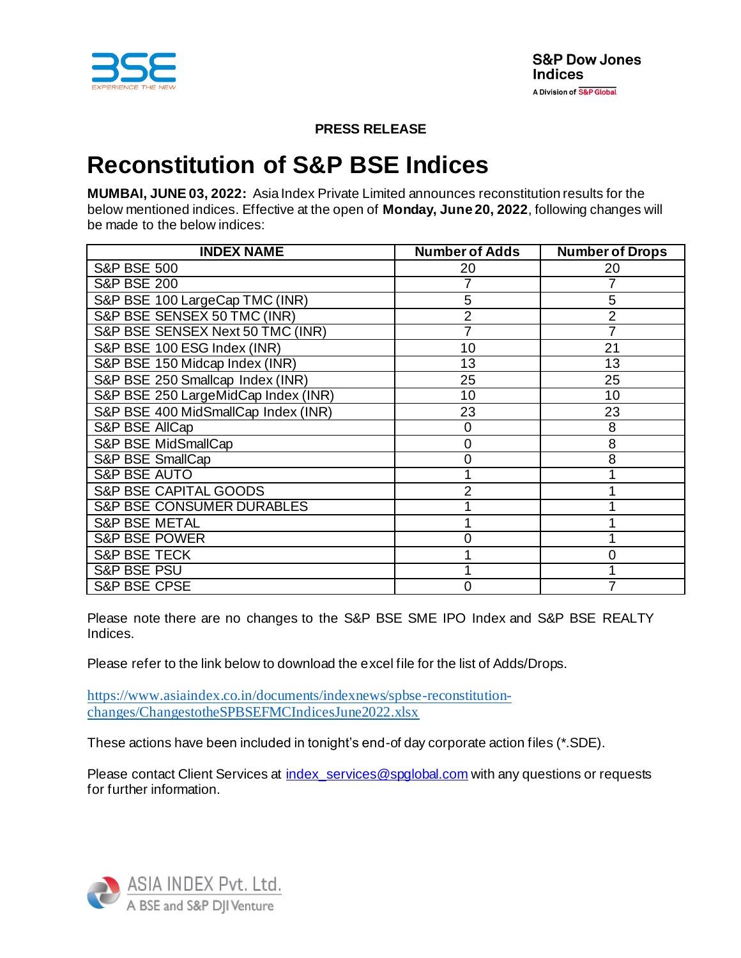

**PRESS RELEASE**

# **Reconstitution of S&P BSE Indices**

**MUMBAI, JUNE 03, 2022:** Asia Index Private Limited announces reconstitution results for the below mentioned indices. Effective at the open of **Monday, June 20, 2022**, following changes will be made to the below indices:

| <b>INDEX NAME</b>                    | <b>Number of Adds</b> | <b>Number of Drops</b> |
|--------------------------------------|-----------------------|------------------------|
| <b>S&amp;P BSE 500</b>               | 20                    | 20                     |
| <b>S&amp;P BSE 200</b>               |                       |                        |
| S&P BSE 100 LargeCap TMC (INR)       | 5                     | 5                      |
| S&P BSE SENSEX 50 TMC (INR)          | 2                     | $\overline{2}$         |
| S&P BSE SENSEX Next 50 TMC (INR)     |                       |                        |
| S&P BSE 100 ESG Index (INR)          | 10                    | 21                     |
| S&P BSE 150 Midcap Index (INR)       | 13                    | 13                     |
| S&P BSE 250 Smallcap Index (INR)     | 25                    | 25                     |
| S&P BSE 250 LargeMidCap Index (INR)  | 10                    | 10                     |
| S&P BSE 400 MidSmallCap Index (INR)  | 23                    | 23                     |
| S&P BSE AllCap                       | 0                     | 8                      |
| S&P BSE MidSmallCap                  | 0                     | 8                      |
| <b>S&amp;P BSE SmallCap</b>          | 0                     | 8                      |
| <b>S&amp;P BSE AUTO</b>              |                       |                        |
| S&P BSE CAPITAL GOODS                | 2                     |                        |
| <b>S&amp;P BSE CONSUMER DURABLES</b> |                       |                        |
| <b>S&amp;P BSE METAL</b>             |                       |                        |
| <b>S&amp;P BSE POWER</b>             | ი                     |                        |
| <b>S&amp;P BSE TECK</b>              |                       | 0                      |
| <b>S&amp;P BSE PSU</b>               |                       |                        |
| <b>S&amp;P BSE CPSE</b>              | 0                     |                        |

Please note there are no changes to the S&P BSE SME IPO Index and S&P BSE REALTY Indices.

Please refer to the link below to download the excel file for the list of Adds/Drops.

[https://www.asiaindex.co.in/documents/indexnews/spbse-reconstitution](https://www.asiaindex.co.in/documents/indexnews/spbse-reconstitution-changes/ChangestotheSPBSEFMCIndicesJune2022.xlsx)[changes/ChangestotheSPBSEFMCIndicesJune2022.xlsx](https://www.asiaindex.co.in/documents/indexnews/spbse-reconstitution-changes/ChangestotheSPBSEFMCIndicesJune2022.xlsx)

These actions have been included in tonight's end-of day corporate action files (\*.SDE).

Please contact Client Services at index services@spglobal.com with any questions or requests for further information.

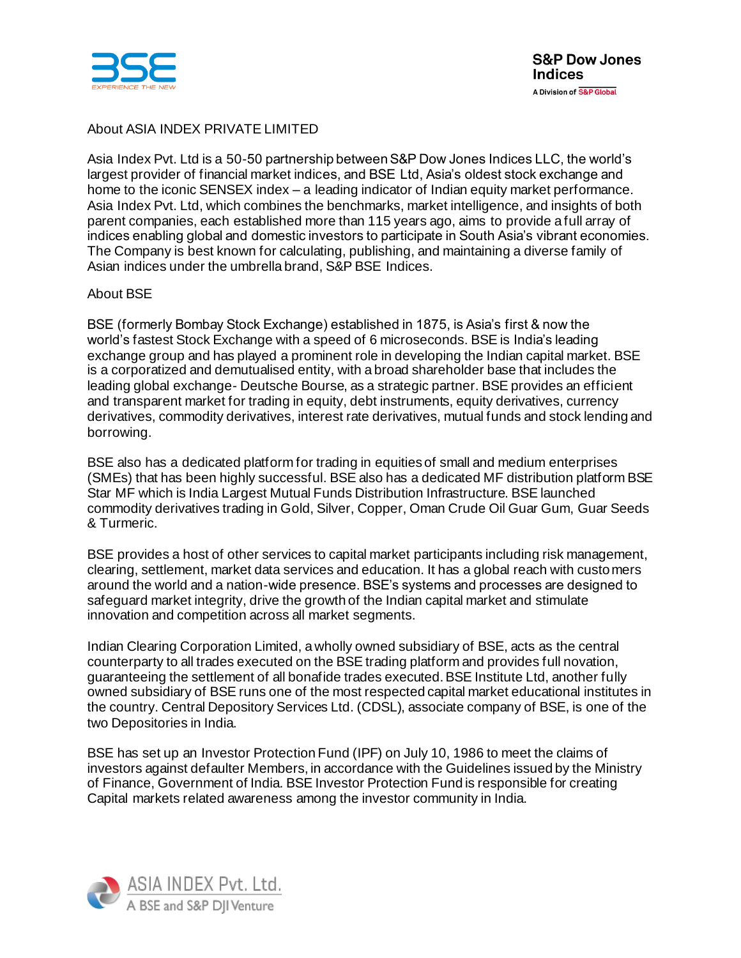

## About ASIA INDEX PRIVATE LIMITED

Asia Index Pvt. Ltd is a 50-50 partnership between S&P Dow Jones Indices LLC, the world's largest provider of financial market indices, and BSE Ltd, Asia's oldest stock exchange and home to the iconic SENSEX index – a leading indicator of Indian equity market performance. Asia Index Pvt. Ltd, which combines the benchmarks, market intelligence, and insights of both parent companies, each established more than 115 years ago, aims to provide a full array of indices enabling global and domestic investors to participate in South Asia's vibrant economies. The Company is best known for calculating, publishing, and maintaining a diverse family of Asian indices under the umbrella brand, S&P BSE Indices.

### About BSE

BSE (formerly Bombay Stock Exchange) established in 1875, is Asia's first & now the world's fastest Stock Exchange with a speed of 6 microseconds. BSE is India's leading exchange group and has played a prominent role in developing the Indian capital market. BSE is a corporatized and demutualised entity, with a broad shareholder base that includes the leading global exchange- Deutsche Bourse, as a strategic partner. BSE provides an efficient and transparent market for trading in equity, debt instruments, equity derivatives, currency derivatives, commodity derivatives, interest rate derivatives, mutual funds and stock lending and borrowing.

BSE also has a dedicated platform for trading in equities of small and medium enterprises (SMEs) that has been highly successful. BSE also has a dedicated MF distribution platform BSE Star MF which is India Largest Mutual Funds Distribution Infrastructure. BSE launched commodity derivatives trading in Gold, Silver, Copper, Oman Crude Oil Guar Gum, Guar Seeds & Turmeric.

BSE provides a host of other services to capital market participants including risk management, clearing, settlement, market data services and education. It has a global reach with customers around the world and a nation-wide presence. BSE's systems and processes are designed to safeguard market integrity, drive the growth of the Indian capital market and stimulate innovation and competition across all market segments.

Indian Clearing Corporation Limited, a wholly owned subsidiary of BSE, acts as the central counterparty to all trades executed on the BSE trading platform and provides full novation, guaranteeing the settlement of all bonafide trades executed. BSE Institute Ltd, another fully owned subsidiary of BSE runs one of the most respected capital market educational institutes in the country. Central Depository Services Ltd. (CDSL), associate company of BSE, is one of the two Depositories in India.

BSE has set up an Investor Protection Fund (IPF) on July 10, 1986 to meet the claims of investors against defaulter Members, in accordance with the Guidelines issued by the Ministry of Finance, Government of India. BSE Investor Protection Fund is responsible for creating Capital markets related awareness among the investor community in India.